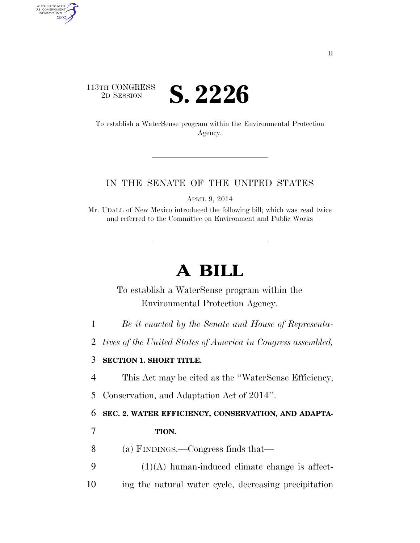

AUTHENTICATED<br>U.S. GOVERNMENT<br>INFORMATION GPO

> To establish a WaterSense program within the Environmental Protection Agency.

## IN THE SENATE OF THE UNITED STATES

APRIL 9, 2014

Mr. UDALL of New Mexico introduced the following bill; which was read twice and referred to the Committee on Environment and Public Works

## **A BILL**

To establish a WaterSense program within the Environmental Protection Agency.

- 1 *Be it enacted by the Senate and House of Representa-*
- 2 *tives of the United States of America in Congress assembled,*

## 3 **SECTION 1. SHORT TITLE.**

- 4 This Act may be cited as the ''WaterSense Efficiency,
- 5 Conservation, and Adaptation Act of 2014''.

6 **SEC. 2. WATER EFFICIENCY, CONSERVATION, AND ADAPTA-**

## 7 **TION.**

- 8 (a) FINDINGS.—Congress finds that—
- $9$  (1)(A) human-induced climate change is affect-10 ing the natural water cycle, decreasing precipitation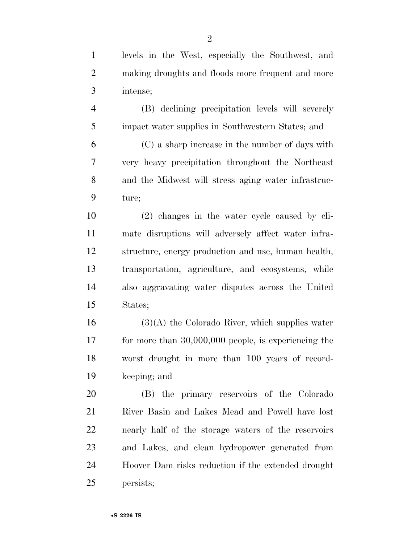| $\mathbf{1}$   | levels in the West, especially the Southwest, and      |
|----------------|--------------------------------------------------------|
| $\overline{2}$ | making droughts and floods more frequent and more      |
| 3              | intense;                                               |
| $\overline{4}$ | (B) declining precipitation levels will severely       |
| 5              | impact water supplies in Southwestern States; and      |
| 6              | (C) a sharp increase in the number of days with        |
| 7              | very heavy precipitation throughout the Northeast      |
| 8              | and the Midwest will stress aging water infrastruc-    |
| 9              | ture;                                                  |
| 10             | (2) changes in the water cycle caused by cli-          |
| 11             | mate disruptions will adversely affect water infra-    |
| 12             | structure, energy production and use, human health,    |
| 13             | transportation, agriculture, and ecosystems, while     |
| 14             | also aggravating water disputes across the United      |
| 15             | States;                                                |
| 16             | $(3)(A)$ the Colorado River, which supplies water      |
| 17             | for more than $30,000,000$ people, is experiencing the |
| 18             | worst drought in more than 100 years of record-        |
| 19             | keeping; and                                           |
| 20             | (B) the primary reservoirs of the Colorado             |
| 21             | River Basin and Lakes Mead and Powell have lost        |
| 22             | nearly half of the storage waters of the reservoirs    |
| 23             | and Lakes, and clean hydropower generated from         |
| 24             | Hoover Dam risks reduction if the extended drought     |
| 25             | persists;                                              |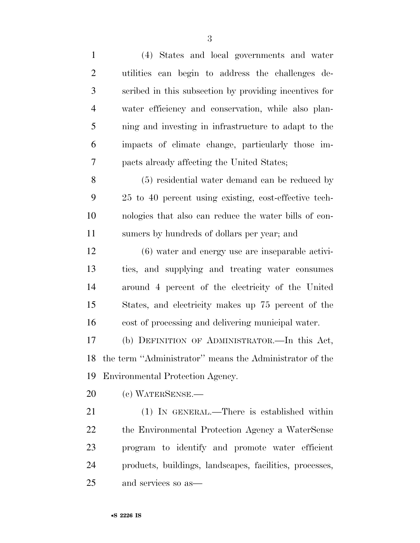| $\mathbf{1}$   | (4) States and local governments and water              |
|----------------|---------------------------------------------------------|
| $\overline{2}$ | utilities can begin to address the challenges de-       |
| 3              | scribed in this subsection by providing incentives for  |
| $\overline{4}$ | water efficiency and conservation, while also plan-     |
| 5              | ning and investing in infrastructure to adapt to the    |
| 6              | impacts of climate change, particularly those im-       |
| 7              | pacts already affecting the United States;              |
| 8              | (5) residential water demand can be reduced by          |
| 9              | 25 to 40 percent using existing, cost-effective tech-   |
| 10             | nologies that also can reduce the water bills of con-   |
| 11             | sumers by hundreds of dollars per year; and             |
| 12             | (6) water and energy use are inseparable activi-        |
| 13             | ties, and supplying and treating water consumes         |
| 14             | around 4 percent of the electricity of the United       |
| 15             | States, and electricity makes up 75 percent of the      |
| 16             | cost of processing and delivering municipal water.      |
| 17             | (b) DEFINITION OF ADMINISTRATOR.—In this Act,           |
| 18             | the term "Administrator" means the Administrator of the |
| 19             | Environmental Protection Agency.                        |
| 20             | (c) WATERSENSE.—                                        |
| 21             | (1) IN GENERAL.—There is established within             |
| 22             | the Environmental Protection Agency a WaterSense        |
| 23             | program to identify and promote water efficient         |
| 24             | products, buildings, landscapes, facilities, processes, |
| 25             | and services so as—                                     |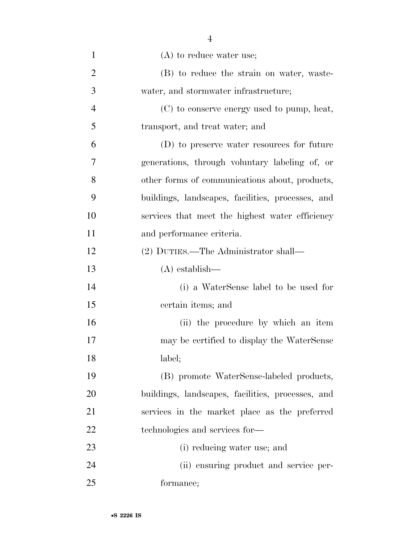| $\mathbf{1}$   | $(A)$ to reduce water use;                        |
|----------------|---------------------------------------------------|
| $\overline{2}$ | (B) to reduce the strain on water, waste-         |
| 3              | water, and stormwater infrastructure;             |
| $\overline{4}$ | (C) to conserve energy used to pump, heat,        |
| 5              | transport, and treat water; and                   |
| 6              | (D) to preserve water resources for future        |
| 7              | generations, through voluntary labeling of, or    |
| 8              | other forms of communications about, products,    |
| 9              | buildings, landscapes, facilities, processes, and |
| 10             | services that meet the highest water efficiency   |
| 11             | and performance criteria.                         |
| 12             | (2) DUTIES.—The Administrator shall—              |
| 13             | $(A)$ establish—                                  |
| 14             | (i) a WaterSense label to be used for             |
| 15             | certain items; and                                |
| 16             | (ii) the procedure by which an item               |
| 17             | may be certified to display the WaterSense        |
| 18             | label;                                            |
| 19             | (B) promote WaterSense-labeled products,          |
| 20             | buildings, landscapes, facilities, processes, and |
| 21             | services in the market place as the preferred     |
| 22             | technologies and services for-                    |
| 23             | (i) reducing water use; and                       |
| 24             | (ii) ensuring product and service per-            |
| 25             | formance;                                         |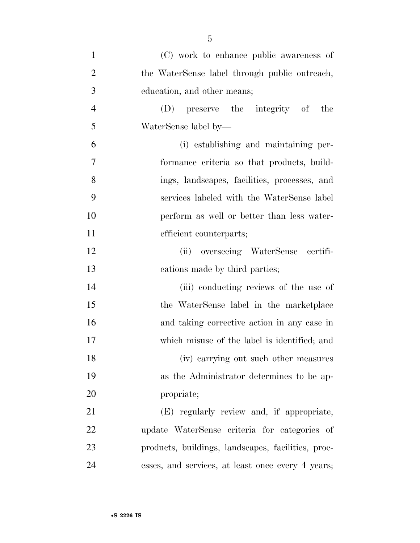| $\mathbf{1}$   | (C) work to enhance public awareness of            |
|----------------|----------------------------------------------------|
| $\overline{2}$ | the WaterSense label through public outreach,      |
| 3              | education, and other means;                        |
| $\overline{4}$ | (D) preserve the integrity of the                  |
| 5              | WaterSense label by—                               |
| 6              | (i) establishing and maintaining per-              |
| $\overline{7}$ | formance criteria so that products, build-         |
| 8              | ings, landscapes, facilities, processes, and       |
| 9              | services labeled with the WaterSense label         |
| 10             | perform as well or better than less water-         |
| 11             | efficient counterparts;                            |
| 12             | (ii) overseeing WaterSense certifi-                |
| 13             | cations made by third parties;                     |
| 14             | (iii) conducting reviews of the use of             |
| 15             | the WaterSense label in the marketplace            |
| 16             | and taking corrective action in any case in        |
| 17             | which misuse of the label is identified; and       |
| 18             | (iv) carrying out such other measures              |
| 19             | as the Administrator determines to be ap-          |
| 20             | propriate;                                         |
| 21             | (E) regularly review and, if appropriate,          |
| 22             | update WaterSense criteria for categories of       |
| 23             | products, buildings, landscapes, facilities, proc- |
| 24             | esses, and services, at least once every 4 years;  |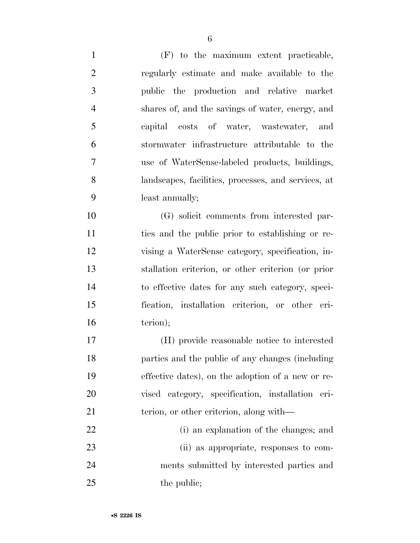(F) to the maximum extent practicable, regularly estimate and make available to the public the production and relative market shares of, and the savings of water, energy, and capital costs of water, wastewater, and stormwater infrastructure attributable to the use of WaterSense-labeled products, buildings, landscapes, facilities, processes, and services, at least annually;

 (G) solicit comments from interested par- ties and the public prior to establishing or re- vising a WaterSense category, specification, in- stallation criterion, or other criterion (or prior to effective dates for any such category, speci- fication, installation criterion, or other cri-16 terion);

 (H) provide reasonable notice to interested parties and the public of any changes (including effective dates), on the adoption of a new or re- vised category, specification, installation cri-21 terion, or other criterion, along with—

 (i) an explanation of the changes; and (ii) as appropriate, responses to com- ments submitted by interested parties and 25 the public: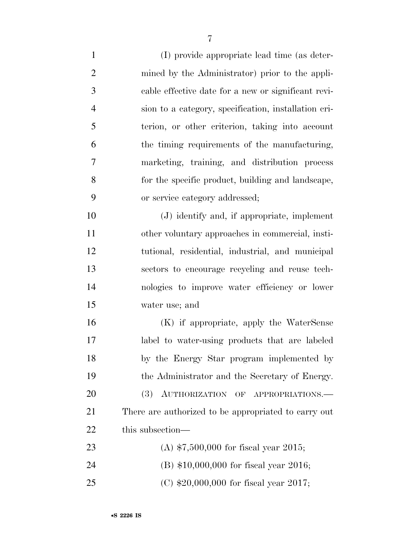(I) provide appropriate lead time (as deter- mined by the Administrator) prior to the appli- cable effective date for a new or significant revi- sion to a category, specification, installation cri- terion, or other criterion, taking into account the timing requirements of the manufacturing, marketing, training, and distribution process for the specific product, building and landscape, or service category addressed; (J) identify and, if appropriate, implement other voluntary approaches in commercial, insti- tutional, residential, industrial, and municipal sectors to encourage recycling and reuse tech- nologies to improve water efficiency or lower water use; and (K) if appropriate, apply the WaterSense label to water-using products that are labeled by the Energy Star program implemented by the Administrator and the Secretary of Energy. 20 (3) AUTHORIZATION OF APPROPRIATIONS.— There are authorized to be appropriated to carry out 22 this subsection— (A) \$7,500,000 for fiscal year 2015; (B) \$10,000,000 for fiscal year 2016;

(C) \$20,000,000 for fiscal year 2017;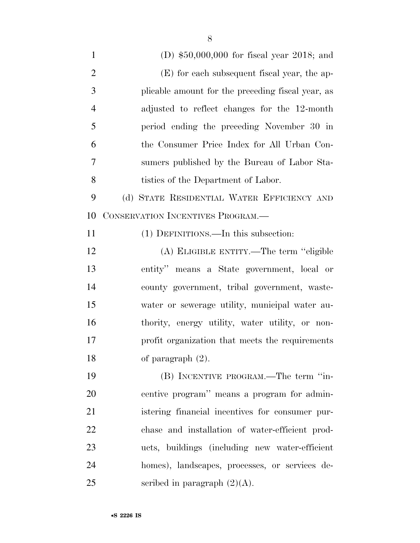| $\mathbf{1}$   | (D) $$50,000,000$ for fiscal year 2018; and       |
|----------------|---------------------------------------------------|
| $\overline{2}$ | (E) for each subsequent fiscal year, the ap-      |
| 3              | plicable amount for the preceding fiscal year, as |
| $\overline{4}$ | adjusted to reflect changes for the 12-month      |
| 5              | period ending the preceding November 30 in        |
| 6              | the Consumer Price Index for All Urban Con-       |
| 7              | sumers published by the Bureau of Labor Sta-      |
| 8              | tistics of the Department of Labor.               |
| 9              | (d) STATE RESIDENTIAL WATER EFFICIENCY AND        |
| 10             | CONSERVATION INCENTIVES PROGRAM.—                 |
| 11             | (1) DEFINITIONS.—In this subsection:              |
| 12             | (A) ELIGIBLE ENTITY.—The term "eligible           |
| 13             | entity" means a State government, local or        |
| 14             | county government, tribal government, waste-      |
| 15             | water or sewerage utility, municipal water au-    |
| 16             | thority, energy utility, water utility, or non-   |
| 17             | profit organization that meets the requirements   |
| 18             | of paragraph $(2)$ .                              |
| 19             | (B) INCENTIVE PROGRAM.—The term "in-              |
| 20             | centive program" means a program for admin-       |
| 21             | istering financial incentives for consumer pur-   |
| 22             | chase and installation of water-efficient prod-   |
| 23             | ucts, buildings (including new water-efficient    |
| 24             | homes), landscapes, processes, or services de-    |
| 25             | scribed in paragraph $(2)(A)$ .                   |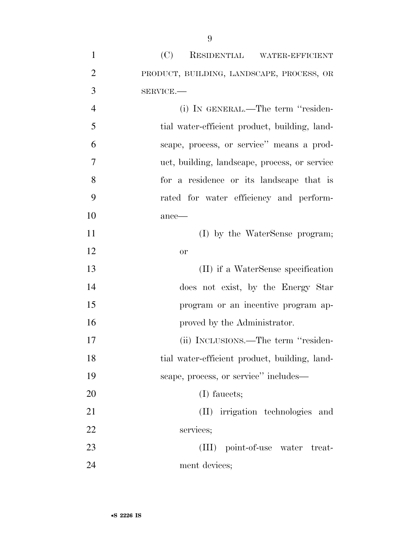| $\mathbf{1}$   | (C) RESIDENTIAL WATER-EFFICIENT               |
|----------------|-----------------------------------------------|
| $\overline{2}$ | PRODUCT, BUILDING, LANDSCAPE, PROCESS, OR     |
| 3              | SERVICE.                                      |
| $\overline{4}$ | (i) IN GENERAL.—The term "residen-            |
| 5              | tial water-efficient product, building, land- |
| 6              | scape, process, or service" means a prod-     |
| 7              | uct, building, landscape, process, or service |
| 8              | for a residence or its landscape that is      |
| 9              | rated for water efficiency and perform-       |
| 10             | ance-                                         |
| 11             | (I) by the WaterSense program;                |
| 12             | <b>or</b>                                     |
| 13             | (II) if a WaterSense specification            |
| 14             | does not exist, by the Energy Star            |
| 15             | program or an incentive program ap-           |
| 16             | proved by the Administrator.                  |
| 17             | (ii) INCLUSIONS.—The term "residen-           |
| 18             | tial water-efficient product, building, land- |
| 19             | scape, process, or service" includes—         |
| 20             | (I) faucets;                                  |
| 21             | (II) irrigation technologies and              |
| 22             | services;                                     |
| 23             | (III) point-of-use water treat-               |
| 24             | ment devices;                                 |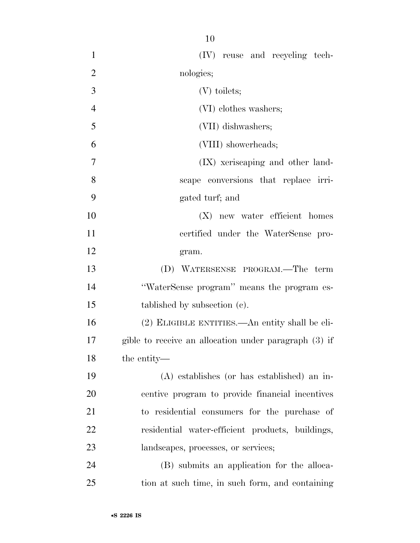| $\mathbf{1}$   | (IV) reuse and recycling tech-                        |
|----------------|-------------------------------------------------------|
| $\overline{2}$ | nologies;                                             |
| 3              | $(V)$ toilets;                                        |
| $\overline{4}$ | (VI) clothes washers;                                 |
| 5              | (VII) dishwashers;                                    |
| 6              | (VIII) showerheads;                                   |
| 7              | (IX) xeriscaping and other land-                      |
| 8              | scape conversions that replace irri-                  |
| 9              | gated turf; and                                       |
| 10             | (X) new water efficient homes                         |
| 11             | certified under the WaterSense pro-                   |
| 12             | gram.                                                 |
| 13             | (D) WATERSENSE PROGRAM.—The term                      |
| 14             | "WaterSense program" means the program es-            |
| 15             | tablished by subsection (c).                          |
| 16             | (2) ELIGIBLE ENTITIES.—An entity shall be eli-        |
| 17             | gible to receive an allocation under paragraph (3) if |
| 18             | the entity—                                           |
| 19             | $(A)$ establishes (or has established) an in-         |
| 20             | centive program to provide financial incentives       |
| 21             | to residential consumers for the purchase of          |
| 22             | residential water-efficient products, buildings,      |
| 23             | landscapes, processes, or services;                   |
| 24             | (B) submits an application for the alloca-            |
| 25             | tion at such time, in such form, and containing       |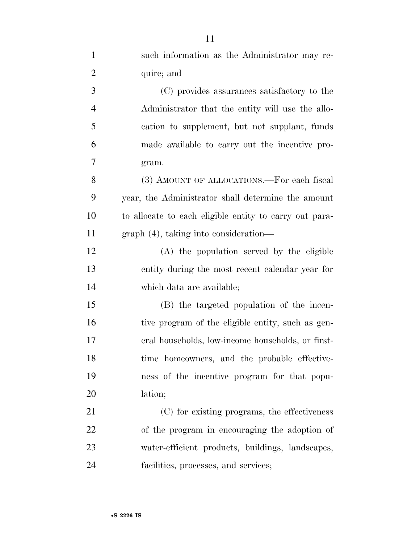| $\mathbf{1}$   | such information as the Administrator may re-          |
|----------------|--------------------------------------------------------|
| $\overline{2}$ | quire; and                                             |
| 3              | (C) provides assurances satisfactory to the            |
| $\overline{4}$ | Administrator that the entity will use the allo-       |
| 5              | cation to supplement, but not supplant, funds          |
| 6              | made available to carry out the incentive pro-         |
| 7              | gram.                                                  |
| 8              | (3) AMOUNT OF ALLOCATIONS.—For each fiscal             |
| 9              | year, the Administrator shall determine the amount     |
| 10             | to allocate to each eligible entity to carry out para- |
| 11             | $graph(4)$ , taking into consideration—                |
| 12             | (A) the population served by the eligible              |
| 13             | entity during the most recent calendar year for        |
| 14             | which data are available;                              |
| 15             | (B) the targeted population of the incen-              |
| 16             | tive program of the eligible entity, such as gen-      |
| 17             | eral households, low-income households, or first-      |
| 18             | time homeowners, and the probable effective-           |
| 19             | ness of the incentive program for that popu-           |
| 20             | lation;                                                |
| 21             | (C) for existing programs, the effectiveness           |
| 22             | of the program in encouraging the adoption of          |
| 23             | water-efficient products, buildings, landscapes,       |
| 24             | facilities, processes, and services;                   |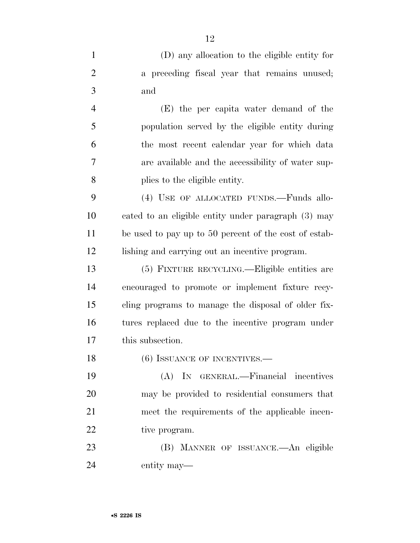|                | (D) any allocation to the eligible entity for                         |
|----------------|-----------------------------------------------------------------------|
| $\overline{2}$ | a preceding fiscal year that remains unused;                          |
| -3             | and                                                                   |
|                | (E) the per capita water demand of the                                |
|                | requested in the second large than a second continued and the form of |

 population served by the eligible entity during the most recent calendar year for which data are available and the accessibility of water sup-plies to the eligible entity.

 (4) USE OF ALLOCATED FUNDS.—Funds allo- cated to an eligible entity under paragraph (3) may be used to pay up to 50 percent of the cost of estab-lishing and carrying out an incentive program.

 (5) FIXTURE RECYCLING.—Eligible entities are encouraged to promote or implement fixture recy- cling programs to manage the disposal of older fix- tures replaced due to the incentive program under this subsection.

18 (6) ISSUANCE OF INCENTIVES.—

 (A) IN GENERAL.—Financial incentives may be provided to residential consumers that meet the requirements of the applicable incen-22 tive program.

 (B) MANNER OF ISSUANCE.—An eligible entity may—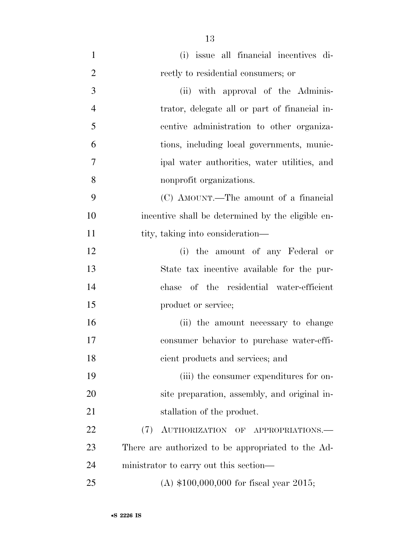| $\mathbf{1}$   | (i) issue all financial incentives di-             |
|----------------|----------------------------------------------------|
| $\overline{2}$ | rectly to residential consumers; or                |
| 3              | (ii) with approval of the Adminis-                 |
| $\overline{4}$ | trator, delegate all or part of financial in-      |
| 5              | centive administration to other organiza-          |
| 6              | tions, including local governments, munic-         |
| 7              | ipal water authorities, water utilities, and       |
| 8              | nonprofit organizations.                           |
| 9              | (C) AMOUNT.—The amount of a financial              |
| 10             | incentive shall be determined by the eligible en-  |
| 11             | tity, taking into consideration—                   |
| 12             | (i) the amount of any Federal or                   |
| 13             | State tax incentive available for the pur-         |
| 14             | chase of the residential water-efficient           |
| 15             | product or service;                                |
| 16             | (ii) the amount necessary to change                |
| 17             | consumer behavior to purchase water-effi-          |
| 18             | cient products and services; and                   |
| 19             | (iii) the consumer expenditures for on-            |
| 20             | site preparation, assembly, and original in-       |
| 21             | stallation of the product.                         |
| 22             | AUTHORIZATION OF APPROPRIATIONS.<br>(7)            |
| 23             | There are authorized to be appropriated to the Ad- |
| 24             | ministrator to carry out this section—             |
| 25             | (A) $$100,000,000$ for fiscal year 2015;           |

•**S 2226 IS**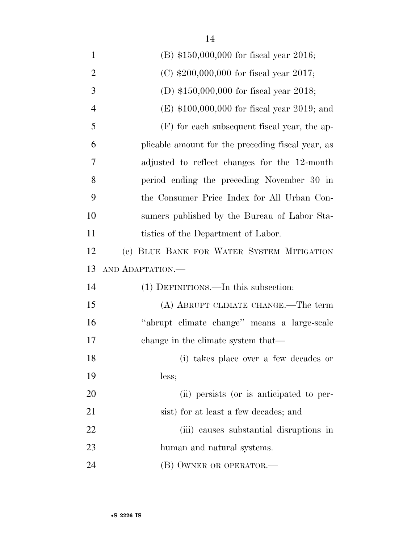| $\mathbf{1}$   | (B) \$150,000,000 for fiscal year 2016;           |
|----------------|---------------------------------------------------|
| $\overline{2}$ | (C) $$200,000,000$ for fiscal year 2017;          |
| 3              | (D) $$150,000,000$ for fiscal year 2018;          |
| 4              | $(E)$ \$100,000,000 for fiscal year 2019; and     |
| 5              | $(F)$ for each subsequent fiscal year, the ap-    |
| 6              | plicable amount for the preceding fiscal year, as |
| 7              | adjusted to reflect changes for the 12-month      |
| 8              | period ending the preceding November 30 in        |
| 9              | the Consumer Price Index for All Urban Con-       |
| 10             | sumers published by the Bureau of Labor Sta-      |
| 11             | tistics of the Department of Labor.               |
| 12             | (e) BLUE BANK FOR WATER SYSTEM MITIGATION         |
|                |                                                   |
| 13             | AND ADAPTATION.                                   |
| 14             | (1) DEFINITIONS.—In this subsection:              |
| 15             | (A) ABRUPT CLIMATE CHANGE.—The term               |
| 16             | "abrupt climate change" means a large-scale       |
| 17             | change in the climate system that—                |
| 18             | (i) takes place over a few decades or             |
| 19             | less;                                             |
| 20             | (ii) persists (or is anticipated to per-          |
| 21             | sist) for at least a few decades; and             |
| 22             | (iii) causes substantial disruptions in           |
| 23             | human and natural systems.                        |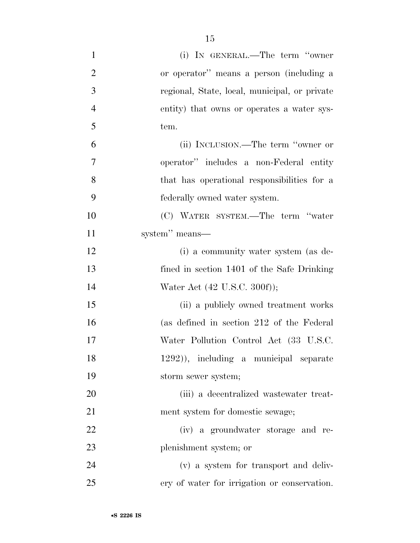| $\mathbf{1}$   | (i) IN GENERAL.—The term "owner               |
|----------------|-----------------------------------------------|
| $\overline{2}$ | or operator" means a person (including a      |
| 3              | regional, State, local, municipal, or private |
| $\overline{4}$ | entity) that owns or operates a water sys-    |
| 5              | tem.                                          |
| 6              | (ii) INCLUSION.—The term "owner or            |
| $\tau$         | operator" includes a non-Federal entity       |
| 8              | that has operational responsibilities for a   |
| 9              | federally owned water system.                 |
| 10             | (C) WATER SYSTEM.—The term "water             |
| 11             | system" means—                                |
| 12             | (i) a community water system (as de-          |
| 13             | fined in section 1401 of the Safe Drinking    |
| 14             | Water Act (42 U.S.C. 300f));                  |
| 15             | (ii) a publicly owned treatment works         |
| 16             | (as defined in section 212 of the Federal     |
| 17             | Water Pollution Control Act (33 U.S.C.        |
| 18             | 1292)), including a municipal separate        |
| 19             | storm sewer system;                           |
| <b>20</b>      | (iii) a decentralized wastewater treat-       |
| 21             | ment system for domestic sewage;              |
| 22             | (iv) a groundwater storage and re-            |
| 23             | plenishment system; or                        |
| 24             | (v) a system for transport and deliv-         |
| 25             | ery of water for irrigation or conservation.  |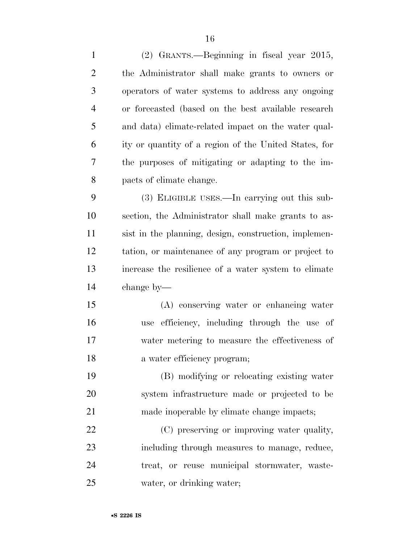| $\mathbf{1}$   | (2) GRANTS.—Beginning in fiscal year 2015,            |
|----------------|-------------------------------------------------------|
| $\overline{2}$ | the Administrator shall make grants to owners or      |
| 3              | operators of water systems to address any ongoing     |
| $\overline{4}$ | or forecasted (based on the best available research   |
| 5              | and data) climate-related impact on the water qual-   |
| 6              | ity or quantity of a region of the United States, for |
| 7              | the purposes of mitigating or adapting to the im-     |
| 8              | pacts of climate change.                              |
| 9              | (3) ELIGIBLE USES.—In carrying out this sub-          |
| 10             | section, the Administrator shall make grants to as-   |
| 11             | sist in the planning, design, construction, implemen- |
| 12             | tation, or maintenance of any program or project to   |
| 13             | increase the resilience of a water system to climate  |
| 14             | change by—                                            |
| 15             | (A) conserving water or enhancing water               |
| 16             | use efficiency, including through the use of          |
| 17             | water metering to measure the effectiveness of        |
| 18             | a water efficiency program;                           |
| 19             | (B) modifying or relocating existing water            |
| 20             | system infrastructure made or projected to be         |
| 21             | made inoperable by climate change impacts;            |
| 22             | (C) preserving or improving water quality,            |
| 23             | including through measures to manage, reduce,         |
| 24             | treat, or reuse municipal stormwater, waste-          |

water, or drinking water;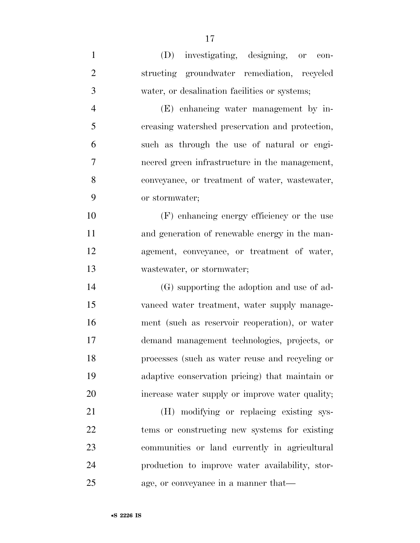| $\mathbf{1}$   |                                                 |
|----------------|-------------------------------------------------|
|                | (D) investigating, designing, or con-           |
| $\overline{2}$ | structing groundwater remediation, recycled     |
| 3              | water, or desalination facilities or systems;   |
| $\overline{4}$ | (E) enhancing water management by in-           |
| 5              | creasing watershed preservation and protection, |
| 6              | such as through the use of natural or engi-     |
| 7              | neered green infrastructure in the management,  |
| 8              | conveyance, or treatment of water, wastewater,  |
| 9              | or stormwater;                                  |
| 10             | (F) enhancing energy efficiency or the use      |
| 11             | and generation of renewable energy in the man-  |
| 12             | agement, conveyance, or treatment of water,     |
| 13             | wastewater, or stormwater;                      |
| 14             | (G) supporting the adoption and use of ad-      |
| 15             | vanced water treatment, water supply manage-    |
| 16             | ment (such as reservoir reoperation), or water  |
| 17             | demand management technologies, projects, or    |
| 18             | processes (such as water reuse and recycling or |
| 19             | adaptive conservation pricing) that maintain or |
| 20             | increase water supply or improve water quality; |
| 21             | (H) modifying or replacing existing sys-        |
| 22             | tems or constructing new systems for existing   |
| 23             | communities or land currently in agricultural   |
| 24             | production to improve water availability, stor- |

age, or conveyance in a manner that—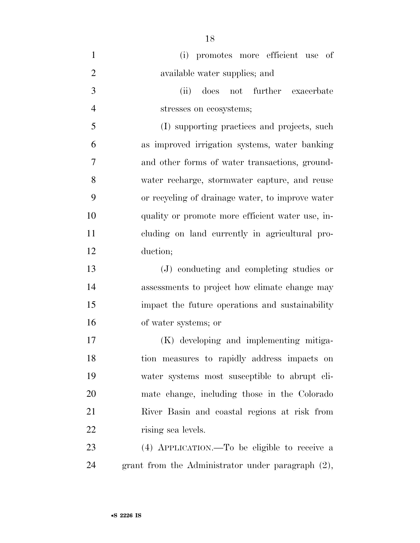| $\mathbf{1}$   | (i) promotes more efficient use of                   |
|----------------|------------------------------------------------------|
| $\overline{2}$ | available water supplies; and                        |
| 3              | does not further exacerbate<br>(ii)                  |
| $\overline{4}$ | stresses on ecosystems;                              |
| 5              | (I) supporting practices and projects, such          |
| 6              | as improved irrigation systems, water banking        |
| 7              | and other forms of water transactions, ground-       |
| 8              | water recharge, stormwater capture, and reuse        |
| 9              | or recycling of drainage water, to improve water     |
| 10             | quality or promote more efficient water use, in-     |
| 11             | cluding on land currently in agricultural pro-       |
| 12             | duction;                                             |
| 13             | (J) conducting and completing studies or             |
| 14             | assessments to project how climate change may        |
| 15             | impact the future operations and sustainability      |
| 16             | of water systems; or                                 |
| 17             | (K) developing and implementing mitiga-              |
| 18             | tion measures to rapidly address impacts on          |
| 19             | water systems most susceptible to abrupt cli-        |
| 20             | mate change, including those in the Colorado         |
| 21             | River Basin and coastal regions at risk from         |
| 22             | rising sea levels.                                   |
| 23             | (4) APPLICATION.—To be eligible to receive a         |
| 24             | grant from the Administrator under paragraph $(2)$ , |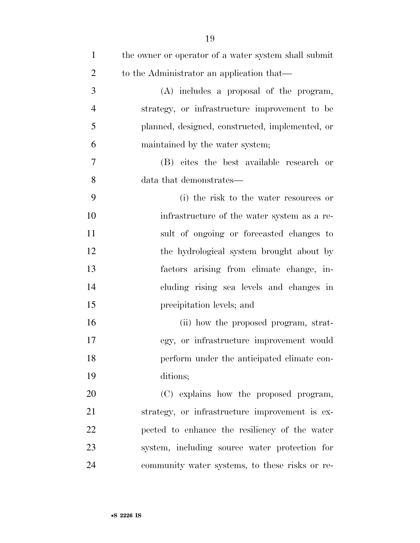| $\mathbf{1}$   | the owner or operator of a water system shall submit |
|----------------|------------------------------------------------------|
| $\overline{2}$ | to the Administrator an application that—            |
| 3              | (A) includes a proposal of the program,              |
| $\overline{4}$ | strategy, or infrastructure improvement to be        |
| 5              | planned, designed, constructed, implemented, or      |
| 6              | maintained by the water system;                      |
| 7              | (B) cites the best available research or             |
| 8              | data that demonstrates—                              |
| 9              | (i) the risk to the water resources or               |
| 10             | infrastructure of the water system as a re-          |
| 11             | sult of ongoing or forecasted changes to             |
| 12             | the hydrological system brought about by             |
| 13             | factors arising from climate change, in-             |
| 14             | cluding rising sea levels and changes in             |
| 15             | precipitation levels; and                            |
| 16             | (ii) how the proposed program, strat-                |
| 17             | egy, or infrastructure improvement would             |
| 18             | perform under the anticipated climate con-           |
| 19             | ditions;                                             |
| 20             | (C) explains how the proposed program,               |
| 21             | strategy, or infrastructure improvement is ex-       |
| 22             | pected to enhance the resiliency of the water        |
| 23             | system, including source water protection for        |
| 24             | community water systems, to these risks or re-       |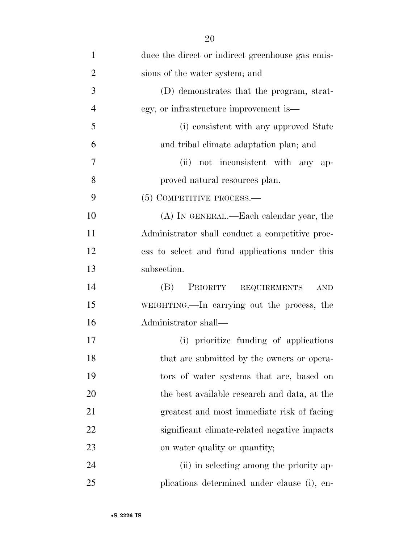| $\mathbf{1}$   | duce the direct or indirect greenhouse gas emis- |
|----------------|--------------------------------------------------|
| $\overline{2}$ | sions of the water system; and                   |
| 3              | (D) demonstrates that the program, strat-        |
| $\overline{4}$ | egy, or infrastructure improvement is—           |
| 5              | (i) consistent with any approved State           |
| 6              | and tribal climate adaptation plan; and          |
| 7              | not inconsistent with any ap-<br>(ii)            |
| 8              | proved natural resources plan.                   |
| 9              | $(5)$ COMPETITIVE PROCESS.—                      |
| 10             | (A) IN GENERAL.—Each calendar year, the          |
| 11             | Administrator shall conduct a competitive proc-  |
| 12             | ess to select and fund applications under this   |
| 13             | subsection.                                      |
| 14             | (B)<br>PRIORITY REQUIREMENTS<br><b>AND</b>       |
| 15             | WEIGHTING.—In carrying out the process, the      |
| 16             | Administrator shall—                             |
| 17             | (i) prioritize funding of applications           |
| 18             | that are submitted by the owners or opera-       |
| 19             | tors of water systems that are, based on         |
| 20             | the best available research and data, at the     |
| 21             | greatest and most immediate risk of facing       |
| 22             | significant climate-related negative impacts     |
| 23             | on water quality or quantity;                    |
| 24             | (ii) in selecting among the priority ap-         |
| 25             | plications determined under clause (i), en-      |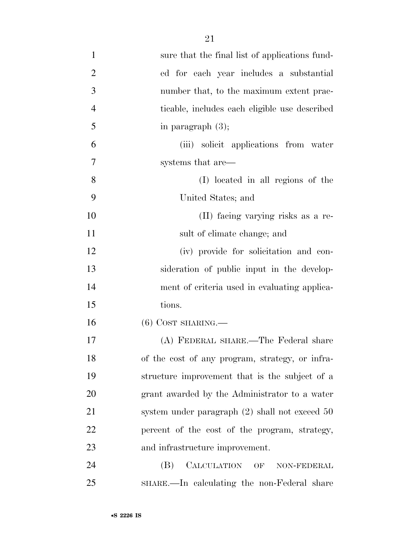| $\mathbf{1}$   | sure that the final list of applications fund-   |
|----------------|--------------------------------------------------|
| $\overline{2}$ | ed for each year includes a substantial          |
| 3              | number that, to the maximum extent prac-         |
| $\overline{4}$ | ticable, includes each eligible use described    |
| 5              | in paragraph $(3)$ ;                             |
| 6              | (iii) solicit applications from water            |
| 7              | systems that are—                                |
| 8              | (I) located in all regions of the                |
| 9              | United States; and                               |
| 10             | (II) facing varying risks as a re-               |
| <sup>11</sup>  | sult of climate change; and                      |
| 12             | (iv) provide for solicitation and con-           |
| 13             | sideration of public input in the develop-       |
| 14             | ment of criteria used in evaluating applica-     |
| 15             | tions.                                           |
| 16             | $(6)$ COST SHARING.—                             |
| 17             | (A) FEDERAL SHARE.—The Federal share             |
| 18             | of the cost of any program, strategy, or infra-  |
| 19             | structure improvement that is the subject of a   |
| 20             | grant awarded by the Administrator to a water    |
| 21             | system under paragraph $(2)$ shall not exceed 50 |
| 22             | percent of the cost of the program, strategy,    |
| 23             | and infrastructure improvement.                  |
| 24             | CALCULATION OF<br>(B)<br>NON-FEDERAL             |
| 25             | SHARE.—In calculating the non-Federal share      |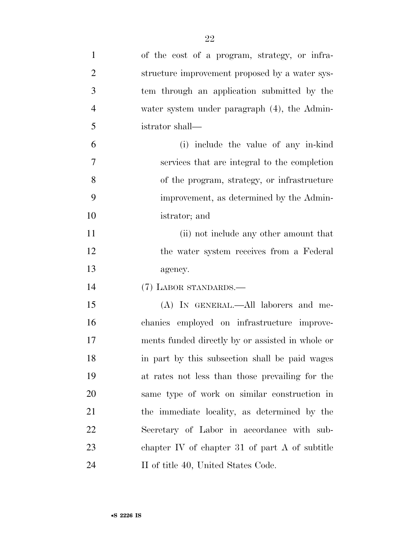| $\mathbf{1}$   | of the cost of a program, strategy, or infra-    |
|----------------|--------------------------------------------------|
| $\overline{2}$ | structure improvement proposed by a water sys-   |
| 3              | tem through an application submitted by the      |
| $\overline{4}$ | water system under paragraph (4), the Admin-     |
| 5              | istrator shall—                                  |
| 6              | (i) include the value of any in-kind             |
| $\tau$         | services that are integral to the completion     |
| 8              | of the program, strategy, or infrastructure      |
| 9              | improvement, as determined by the Admin-         |
| 10             | istrator; and                                    |
| 11             | (ii) not include any other amount that           |
| 12             | the water system receives from a Federal         |
| 13             | agency.                                          |
| 14             | (7) LABOR STANDARDS.-                            |
| 15             | (A) IN GENERAL.—All laborers and me-             |
| 16             | chanics employed on infrastructure improve-      |
| 17             | ments funded directly by or assisted in whole or |
| 18             | in part by this subsection shall be paid wages   |
| 19             | at rates not less than those prevailing for the  |
| 20             | same type of work on similar construction in     |
| 21             | the immediate locality, as determined by the     |
| 22             | Secretary of Labor in accordance with sub-       |
|                |                                                  |
| 23             | chapter IV of chapter 31 of part $A$ of subtitle |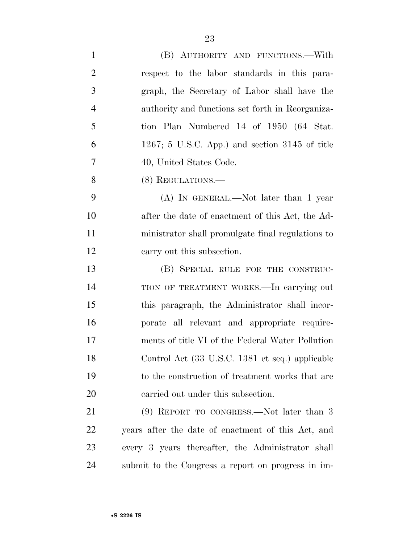| $\mathbf{1}$   | (B) AUTHORITY AND FUNCTIONS.-With                  |
|----------------|----------------------------------------------------|
| $\overline{2}$ | respect to the labor standards in this para-       |
| 3              | graph, the Secretary of Labor shall have the       |
| $\overline{4}$ | authority and functions set forth in Reorganiza-   |
| 5              | tion Plan Numbered 14 of 1950 (64 Stat.            |
| 6              | $1267$ ; 5 U.S.C. App.) and section 3145 of title  |
| 7              | 40, United States Code.                            |
| 8              | (8) REGULATIONS.—                                  |
| 9              | $(A)$ In GENERAL.—Not later than 1 year            |
| 10             | after the date of enactment of this Act, the Ad-   |
| 11             | ministrator shall promulgate final regulations to  |
| 12             | carry out this subsection.                         |
| 13             | (B) SPECIAL RULE FOR THE CONSTRUC-                 |
| 14             | TION OF TREATMENT WORKS.—In carrying out           |
| 15             | this paragraph, the Administrator shall incor-     |
| 16             | porate all relevant and appropriate require-       |
| 17             | ments of title VI of the Federal Water Pollution   |
| 18             | Control Act (33 U.S.C. 1381 et seq.) applicable    |
| 19             | to the construction of treatment works that are    |
| 20             | carried out under this subsection.                 |
| 21             | $(9)$ REPORT TO CONGRESS.—Not later than 3         |
| <u>22</u>      | years after the date of enactment of this Act, and |
| 23             | every 3 years thereafter, the Administrator shall  |
| 24             | submit to the Congress a report on progress in im- |